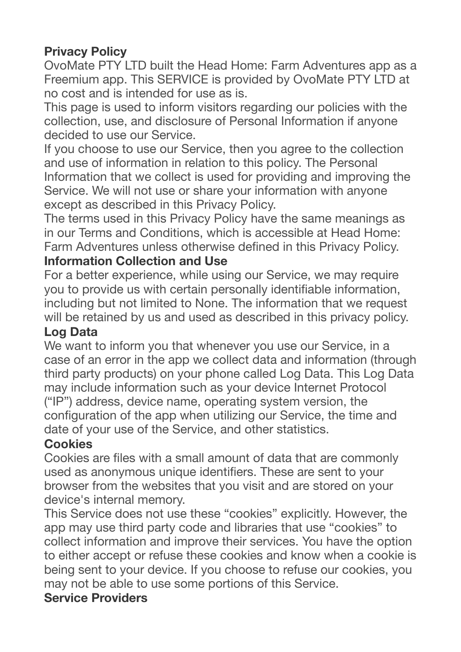# **Privacy Policy**

OvoMate PTY LTD built the Head Home: Farm Adventures app as a Freemium app. This SERVICE is provided by OvoMate PTY LTD at no cost and is intended for use as is.

This page is used to inform visitors regarding our policies with the collection, use, and disclosure of Personal Information if anyone decided to use our Service.

If you choose to use our Service, then you agree to the collection and use of information in relation to this policy. The Personal Information that we collect is used for providing and improving the Service. We will not use or share your information with anyone except as described in this Privacy Policy.

The terms used in this Privacy Policy have the same meanings as in our Terms and Conditions, which is accessible at Head Home: Farm Adventures unless otherwise defined in this Privacy Policy.

#### **Information Collection and Use**

For a better experience, while using our Service, we may require you to provide us with certain personally identifiable information, including but not limited to None. The information that we request will be retained by us and used as described in this privacy policy.

#### **Log Data**

We want to inform you that whenever you use our Service, in a case of an error in the app we collect data and information (through third party products) on your phone called Log Data. This Log Data may include information such as your device Internet Protocol ("IP") address, device name, operating system version, the configuration of the app when utilizing our Service, the time and date of your use of the Service, and other statistics.

#### **Cookies**

Cookies are files with a small amount of data that are commonly used as anonymous unique identifiers. These are sent to your browser from the websites that you visit and are stored on your device's internal memory.

This Service does not use these "cookies" explicitly. However, the app may use third party code and libraries that use "cookies" to collect information and improve their services. You have the option to either accept or refuse these cookies and know when a cookie is being sent to your device. If you choose to refuse our cookies, you may not be able to use some portions of this Service.

### **Service Providers**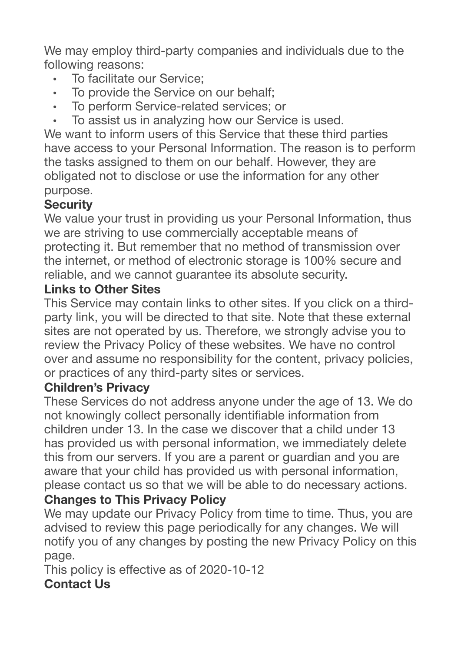We may employ third-party companies and individuals due to the following reasons:

- To facilitate our Service;
- To provide the Service on our behalf;
- To perform Service-related services; or
- To assist us in analyzing how our Service is used.

We want to inform users of this Service that these third parties have access to your Personal Information. The reason is to perform the tasks assigned to them on our behalf. However, they are obligated not to disclose or use the information for any other purpose.

## **Security**

We value your trust in providing us your Personal Information, thus we are striving to use commercially acceptable means of protecting it. But remember that no method of transmission over the internet, or method of electronic storage is 100% secure and reliable, and we cannot guarantee its absolute security.

### **Links to Other Sites**

This Service may contain links to other sites. If you click on a thirdparty link, you will be directed to that site. Note that these external sites are not operated by us. Therefore, we strongly advise you to review the Privacy Policy of these websites. We have no control over and assume no responsibility for the content, privacy policies, or practices of any third-party sites or services.

### **Children's Privacy**

These Services do not address anyone under the age of 13. We do not knowingly collect personally identifiable information from children under 13. In the case we discover that a child under 13 has provided us with personal information, we immediately delete this from our servers. If you are a parent or guardian and you are aware that your child has provided us with personal information, please contact us so that we will be able to do necessary actions.

### **Changes to This Privacy Policy**

We may update our Privacy Policy from time to time. Thus, you are advised to review this page periodically for any changes. We will notify you of any changes by posting the new Privacy Policy on this page.

This policy is effective as of 2020-10-12 **Contact Us**